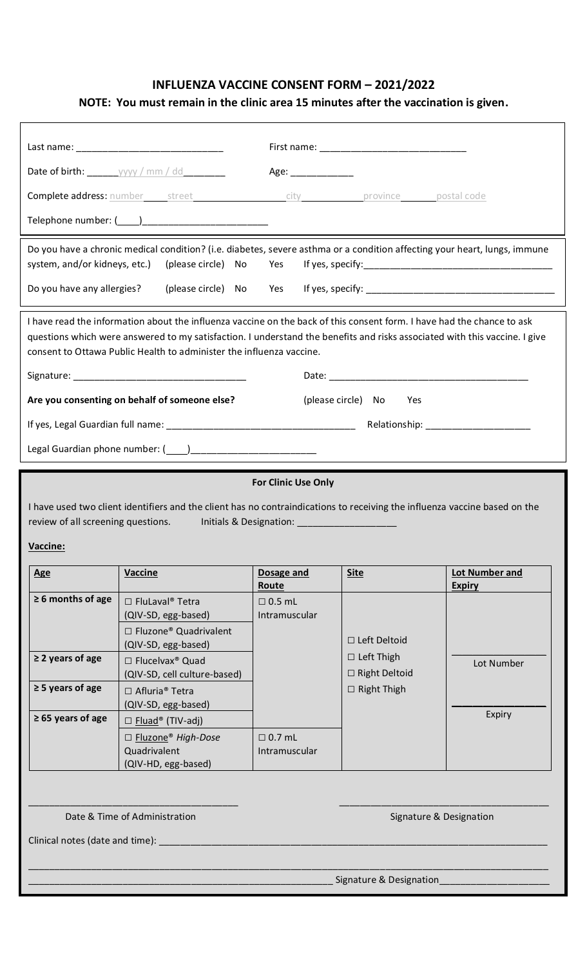# **INFLUENZA VACCINE CONSENT FORM – 2021/2022**

# **NOTE: You must remain in the clinic area 15 minutes after the vaccination is given.**

|                                                                                                                                                                                                                                                             |                                                                                                                                                                                                                                                                                                                              | Age:                                    |                                                                                        |                                       |
|-------------------------------------------------------------------------------------------------------------------------------------------------------------------------------------------------------------------------------------------------------------|------------------------------------------------------------------------------------------------------------------------------------------------------------------------------------------------------------------------------------------------------------------------------------------------------------------------------|-----------------------------------------|----------------------------------------------------------------------------------------|---------------------------------------|
|                                                                                                                                                                                                                                                             | <b>Complete address:</b> number street city city province postal code                                                                                                                                                                                                                                                        |                                         |                                                                                        |                                       |
|                                                                                                                                                                                                                                                             | Telephone number: (____)_________________________                                                                                                                                                                                                                                                                            |                                         |                                                                                        |                                       |
| system, and/or kidneys, etc.)                                                                                                                                                                                                                               | Do you have a chronic medical condition? (i.e. diabetes, severe asthma or a condition affecting your heart, lungs, immune<br>(please circle) No                                                                                                                                                                              | Yes                                     |                                                                                        |                                       |
| Do you have any allergies?                                                                                                                                                                                                                                  |                                                                                                                                                                                                                                                                                                                              |                                         |                                                                                        |                                       |
|                                                                                                                                                                                                                                                             | I have read the information about the influenza vaccine on the back of this consent form. I have had the chance to ask<br>questions which were answered to my satisfaction. I understand the benefits and risks associated with this vaccine. I give<br>consent to Ottawa Public Health to administer the influenza vaccine. |                                         |                                                                                        |                                       |
|                                                                                                                                                                                                                                                             | Are you consenting on behalf of someone else?                                                                                                                                                                                                                                                                                |                                         | (please circle) No<br>Yes                                                              |                                       |
|                                                                                                                                                                                                                                                             |                                                                                                                                                                                                                                                                                                                              |                                         |                                                                                        |                                       |
|                                                                                                                                                                                                                                                             |                                                                                                                                                                                                                                                                                                                              |                                         |                                                                                        |                                       |
| <b>For Clinic Use Only</b><br>I have used two client identifiers and the client has no contraindications to receiving the influenza vaccine based on the<br>review of all screening questions.<br>Initials & Designation: _____________________<br>Vaccine: |                                                                                                                                                                                                                                                                                                                              |                                         |                                                                                        |                                       |
|                                                                                                                                                                                                                                                             |                                                                                                                                                                                                                                                                                                                              |                                         |                                                                                        |                                       |
| <b>Age</b>                                                                                                                                                                                                                                                  | <b>Vaccine</b>                                                                                                                                                                                                                                                                                                               | Dosage and                              | <b>Site</b>                                                                            | <b>Lot Number and</b>                 |
| $\geq 6$ months of age<br>$\geq$ 2 years of age<br>$\geq$ 5 years of age<br>$\geq 65$ years of age                                                                                                                                                          | $\Box$ FluLaval <sup>®</sup> Tetra<br>(QIV-SD, egg-based)<br>□ Fluzone® Quadrivalent<br>(QIV-SD, egg-based)<br>□ Flucelvax <sup>®</sup> Quad<br>(QIV-SD, cell culture-based)<br>□ Afluria <sup>®</sup> Tetra<br>(QIV-SD, egg-based)<br>$\Box$ Fluad® (TIV-adj)                                                               | Route<br>$\Box$ 0.5 mL<br>Intramuscular | $\Box$ Left Deltoid<br>$\Box$ Left Thigh<br>$\Box$ Right Deltoid<br>$\Box$ Right Thigh | <b>Expiry</b><br>Lot Number<br>Expiry |
|                                                                                                                                                                                                                                                             | □ Fluzone® High-Dose<br>Quadrivalent<br>(QIV-HD, egg-based)                                                                                                                                                                                                                                                                  | $\Box$ 0.7 mL<br>Intramuscular          |                                                                                        |                                       |
| Clinical notes (date and time): _                                                                                                                                                                                                                           | Date & Time of Administration                                                                                                                                                                                                                                                                                                |                                         | Signature & Designation                                                                | Signature & Designation               |